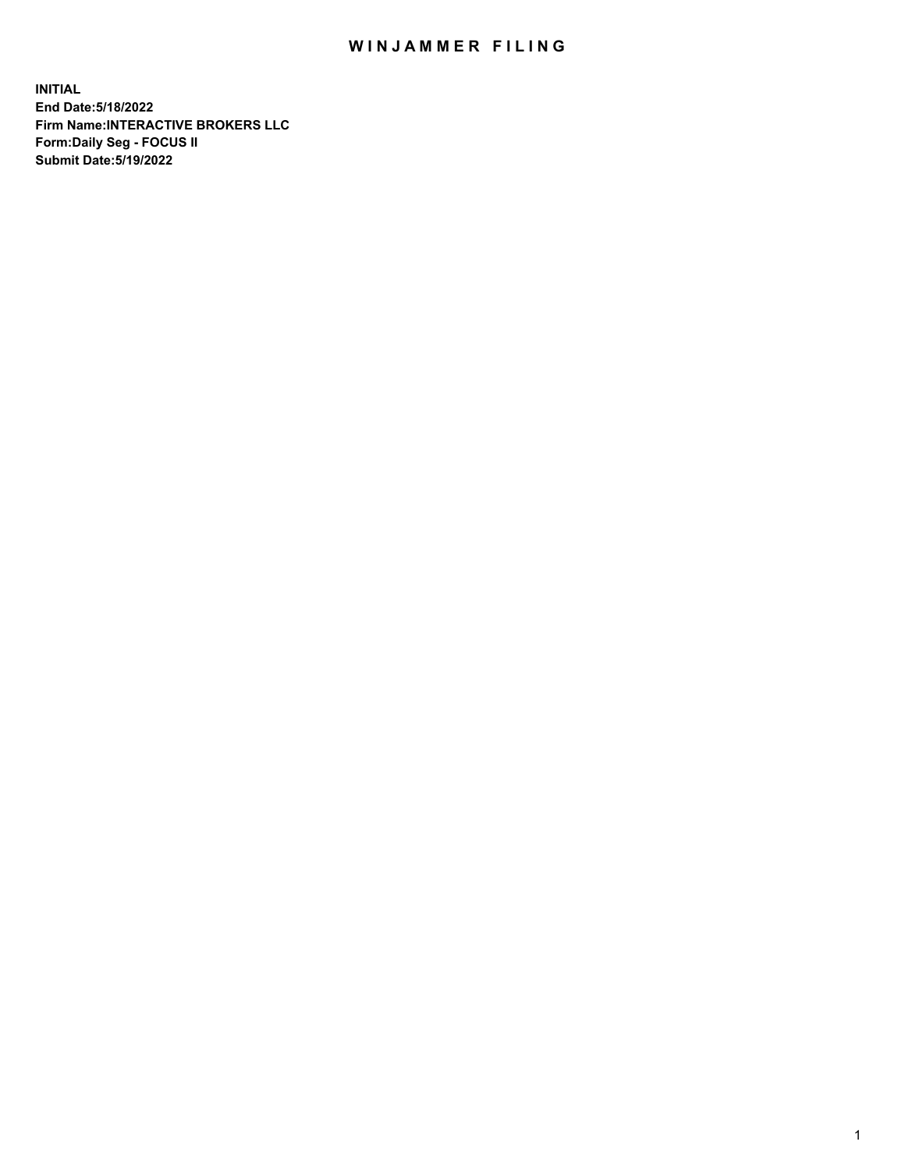## WIN JAMMER FILING

**INITIAL End Date:5/18/2022 Firm Name:INTERACTIVE BROKERS LLC Form:Daily Seg - FOCUS II Submit Date:5/19/2022**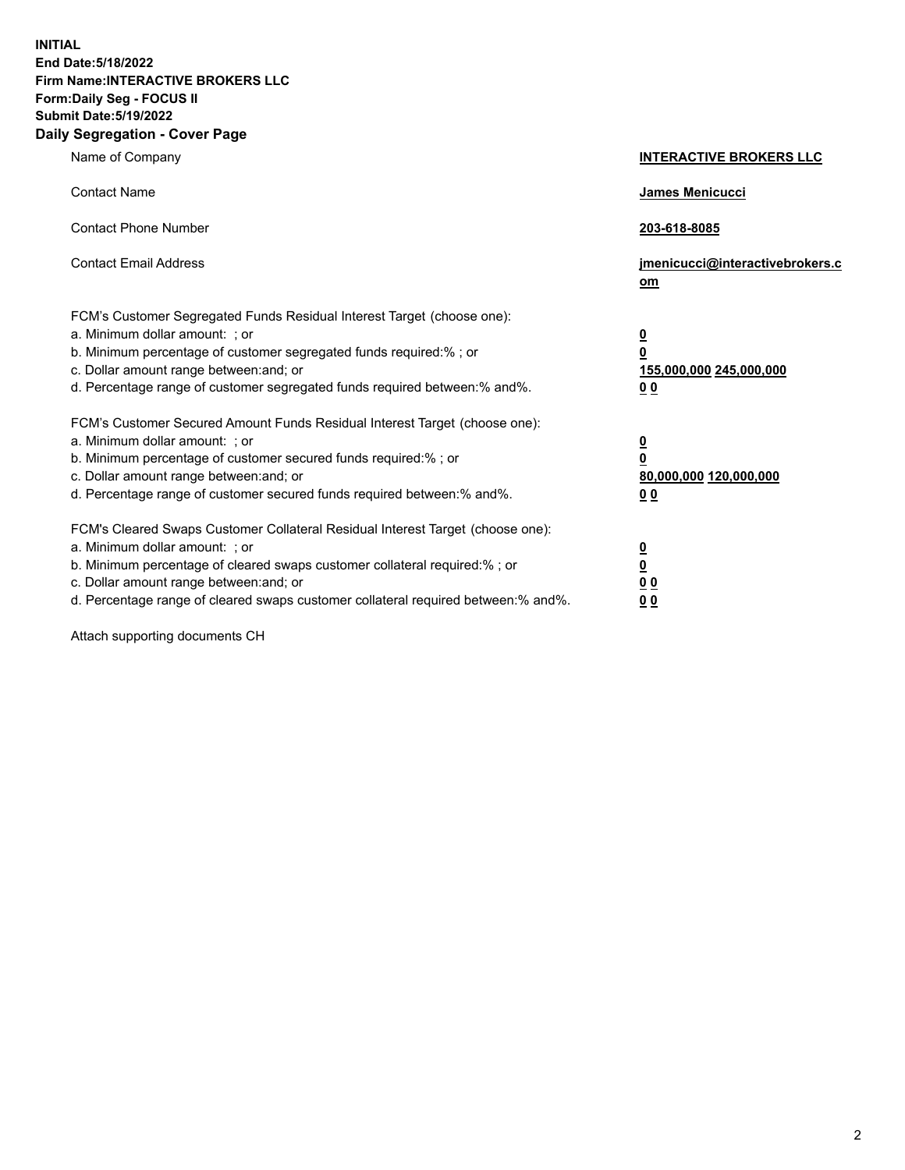**INITIAL End Date:5/18/2022 Firm Name:INTERACTIVE BROKERS LLC Form:Daily Seg - FOCUS II Submit Date:5/19/2022 Daily Segregation - Cover Page**

| Name of Company                                                                                                                                                                                                                                                                                                               | <b>INTERACTIVE BROKERS LLC</b>                                                                  |
|-------------------------------------------------------------------------------------------------------------------------------------------------------------------------------------------------------------------------------------------------------------------------------------------------------------------------------|-------------------------------------------------------------------------------------------------|
| <b>Contact Name</b>                                                                                                                                                                                                                                                                                                           | James Menicucci                                                                                 |
| <b>Contact Phone Number</b>                                                                                                                                                                                                                                                                                                   | 203-618-8085                                                                                    |
| <b>Contact Email Address</b>                                                                                                                                                                                                                                                                                                  | jmenicucci@interactivebrokers.c<br>om                                                           |
| FCM's Customer Segregated Funds Residual Interest Target (choose one):<br>a. Minimum dollar amount: ; or<br>b. Minimum percentage of customer segregated funds required:% ; or<br>c. Dollar amount range between: and; or<br>d. Percentage range of customer segregated funds required between:% and%.                        | $\overline{\mathbf{0}}$<br>$\overline{\mathbf{0}}$<br>155,000,000 245,000,000<br>0 <sub>0</sub> |
| FCM's Customer Secured Amount Funds Residual Interest Target (choose one):<br>a. Minimum dollar amount: ; or<br>b. Minimum percentage of customer secured funds required:% ; or<br>c. Dollar amount range between: and; or<br>d. Percentage range of customer secured funds required between:% and%.                          | <u>0</u><br>$\overline{\mathbf{0}}$<br>80,000,000 120,000,000<br>0 <sub>0</sub>                 |
| FCM's Cleared Swaps Customer Collateral Residual Interest Target (choose one):<br>a. Minimum dollar amount: ; or<br>b. Minimum percentage of cleared swaps customer collateral required:%; or<br>c. Dollar amount range between: and; or<br>d. Percentage range of cleared swaps customer collateral required between:% and%. | $\overline{\mathbf{0}}$<br>$\underline{\mathbf{0}}$<br>$\underline{0}$ $\underline{0}$<br>00    |

Attach supporting documents CH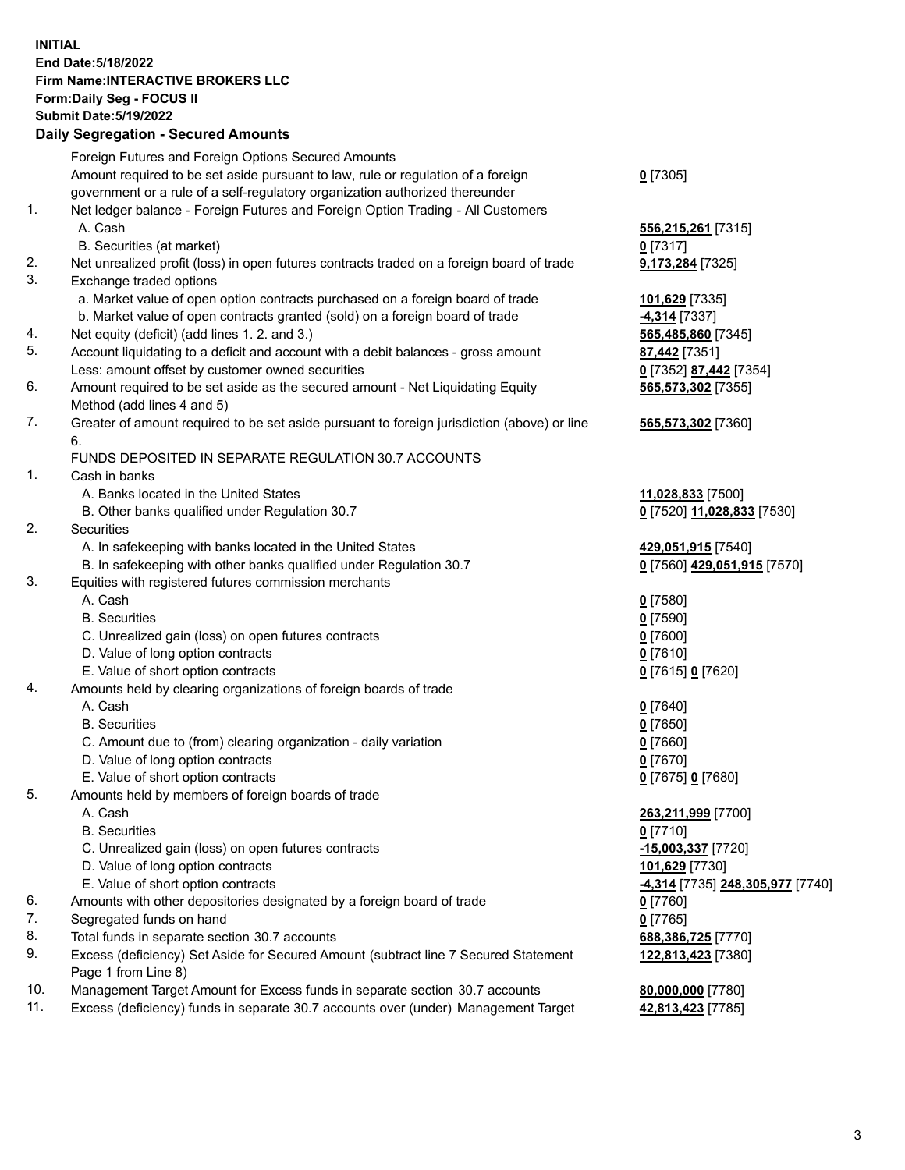**INITIAL End Date:5/18/2022 Firm Name:INTERACTIVE BROKERS LLC Form:Daily Seg - FOCUS II Submit Date:5/19/2022 Daily Segregation - Secured Amounts**

|                | Foreign Futures and Foreign Options Secured Amounts                                               |                                                |
|----------------|---------------------------------------------------------------------------------------------------|------------------------------------------------|
|                | Amount required to be set aside pursuant to law, rule or regulation of a foreign                  | $Q$ [7305]                                     |
|                | government or a rule of a self-regulatory organization authorized thereunder                      |                                                |
| $\mathbf{1}$ . | Net ledger balance - Foreign Futures and Foreign Option Trading - All Customers                   |                                                |
|                | A. Cash                                                                                           | 556,215,261 [7315]                             |
|                | B. Securities (at market)                                                                         | $0$ [7317]                                     |
| 2.             | Net unrealized profit (loss) in open futures contracts traded on a foreign board of trade         | 9,173,284 [7325]                               |
| 3.             | Exchange traded options                                                                           |                                                |
|                | a. Market value of open option contracts purchased on a foreign board of trade                    | 101,629 [7335]                                 |
|                | b. Market value of open contracts granted (sold) on a foreign board of trade                      | <b>4,314</b> [7337]                            |
| 4.             | Net equity (deficit) (add lines 1. 2. and 3.)                                                     | 565,485,860 [7345]                             |
| 5.             | Account liquidating to a deficit and account with a debit balances - gross amount                 | 87,442 [7351]                                  |
|                | Less: amount offset by customer owned securities                                                  | 0 [7352] 87,442 [7354]                         |
| 6.             | Amount required to be set aside as the secured amount - Net Liquidating Equity                    | 565,573,302 [7355]                             |
|                | Method (add lines 4 and 5)                                                                        |                                                |
| 7.             | Greater of amount required to be set aside pursuant to foreign jurisdiction (above) or line<br>6. | 565,573,302 [7360]                             |
|                | FUNDS DEPOSITED IN SEPARATE REGULATION 30.7 ACCOUNTS                                              |                                                |
| 1.             | Cash in banks                                                                                     |                                                |
|                | A. Banks located in the United States                                                             | 11,028,833 [7500]                              |
|                | B. Other banks qualified under Regulation 30.7                                                    | 0 [7520] 11,028,833 [7530]                     |
| 2.             | Securities                                                                                        |                                                |
|                | A. In safekeeping with banks located in the United States                                         | 429,051,915 [7540]                             |
|                | B. In safekeeping with other banks qualified under Regulation 30.7                                | 0 [7560] 429,051,915 [7570]                    |
| 3.             | Equities with registered futures commission merchants                                             |                                                |
|                | A. Cash                                                                                           | $0$ [7580]                                     |
|                | <b>B.</b> Securities                                                                              | $0$ [7590]                                     |
|                | C. Unrealized gain (loss) on open futures contracts                                               | $0$ [7600]                                     |
|                | D. Value of long option contracts                                                                 | $0$ [7610]                                     |
|                | E. Value of short option contracts                                                                | 0 [7615] 0 [7620]                              |
| 4.             | Amounts held by clearing organizations of foreign boards of trade                                 |                                                |
|                | A. Cash                                                                                           | $Q$ [7640]                                     |
|                | <b>B.</b> Securities                                                                              | $0$ [7650]                                     |
|                | C. Amount due to (from) clearing organization - daily variation                                   | $0$ [7660]                                     |
|                | D. Value of long option contracts                                                                 | $0$ [7670]                                     |
|                | E. Value of short option contracts                                                                | 0 [7675] 0 [7680]                              |
| 5.             | Amounts held by members of foreign boards of trade                                                |                                                |
|                | A. Cash                                                                                           | 263,211,999 [7700]                             |
|                | <b>B.</b> Securities                                                                              | $0$ [7710]                                     |
|                | C. Unrealized gain (loss) on open futures contracts                                               | -15,003,337 [7720]                             |
|                | D. Value of long option contracts                                                                 | 101,629 [7730]                                 |
|                | E. Value of short option contracts                                                                | <u>-4,314</u> [7735] <u>248,305,977</u> [7740] |
| 6.             | Amounts with other depositories designated by a foreign board of trade                            | $0$ [7760]                                     |
| 7.             | Segregated funds on hand                                                                          | $0$ [7765]                                     |
| 8.             | Total funds in separate section 30.7 accounts                                                     | 688,386,725 [7770]                             |
| 9.             | Excess (deficiency) Set Aside for Secured Amount (subtract line 7 Secured Statement               | 122,813,423 [7380]                             |
|                | Page 1 from Line 8)                                                                               |                                                |
| 10.            | Management Target Amount for Excess funds in separate section 30.7 accounts                       | 80,000,000 [7780]                              |
| 11.            | Excess (deficiency) funds in separate 30.7 accounts over (under) Management Target                | 42,813,423 [7785]                              |
|                |                                                                                                   |                                                |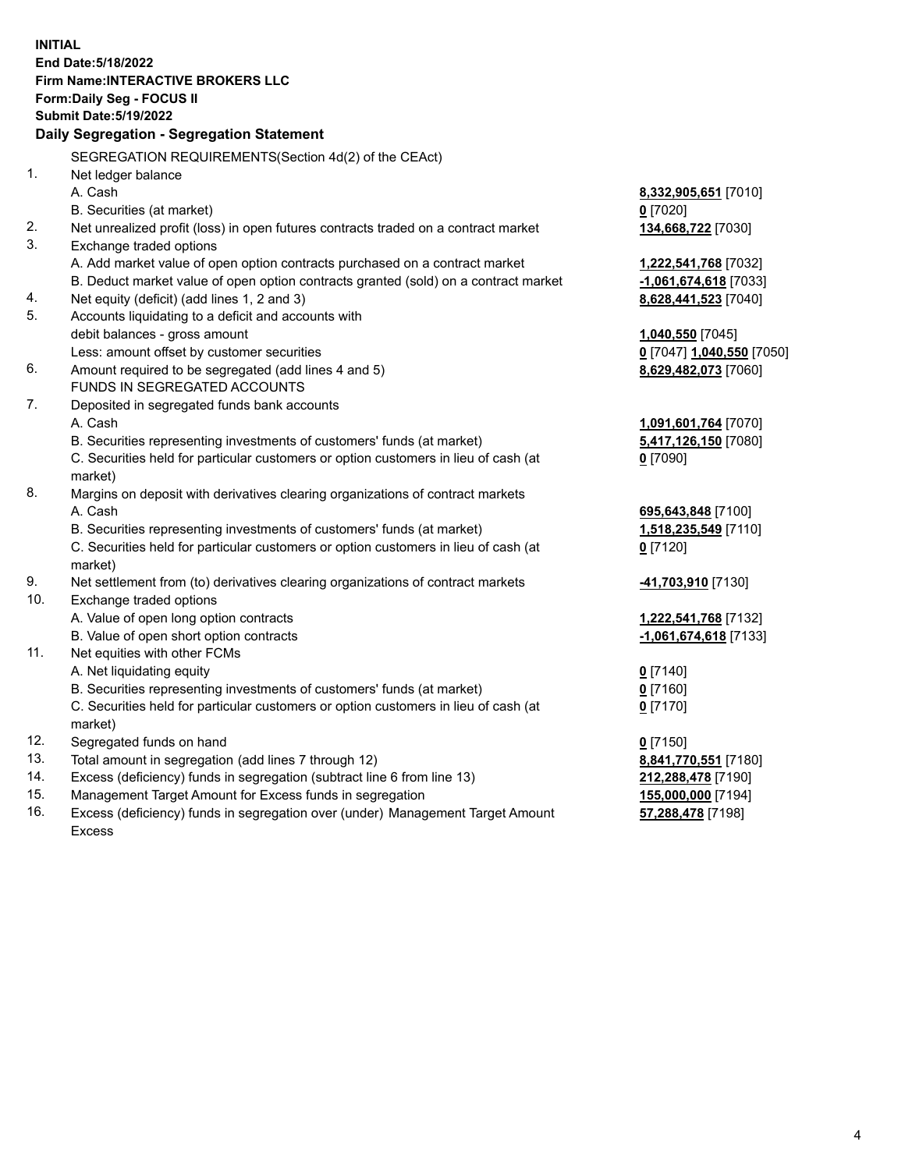**INITIAL End Date:5/18/2022 Firm Name:INTERACTIVE BROKERS LLC Form:Daily Seg - FOCUS II Submit Date:5/19/2022 Daily Segregation - Segregation Statement** SEGREGATION REQUIREMENTS(Section 4d(2) of the CEAct) 1. Net ledger balance A. Cash **8,332,905,651** [7010] B. Securities (at market) **0** [7020] 2. Net unrealized profit (loss) in open futures contracts traded on a contract market **134,668,722** [7030] 3. Exchange traded options A. Add market value of open option contracts purchased on a contract market **1,222,541,768** [7032] B. Deduct market value of open option contracts granted (sold) on a contract market **-1,061,674,618** [7033] 4. Net equity (deficit) (add lines 1, 2 and 3) **8,628,441,523** [7040] 5. Accounts liquidating to a deficit and accounts with debit balances - gross amount **1,040,550** [7045] Less: amount offset by customer securities **0** [7047] **1,040,550** [7050] 6. Amount required to be segregated (add lines 4 and 5) **8,629,482,073** [7060] FUNDS IN SEGREGATED ACCOUNTS 7. Deposited in segregated funds bank accounts A. Cash **1,091,601,764** [7070] B. Securities representing investments of customers' funds (at market) **5,417,126,150** [7080] C. Securities held for particular customers or option customers in lieu of cash (at market) **0** [7090] 8. Margins on deposit with derivatives clearing organizations of contract markets A. Cash **695,643,848** [7100] B. Securities representing investments of customers' funds (at market) **1,518,235,549** [7110] C. Securities held for particular customers or option customers in lieu of cash (at market) **0** [7120] 9. Net settlement from (to) derivatives clearing organizations of contract markets **-41,703,910** [7130] 10. Exchange traded options A. Value of open long option contracts **1,222,541,768** [7132] B. Value of open short option contracts **-1,061,674,618** [7133] 11. Net equities with other FCMs A. Net liquidating equity **0** [7140] B. Securities representing investments of customers' funds (at market) **0** [7160] C. Securities held for particular customers or option customers in lieu of cash (at market) **0** [7170] 12. Segregated funds on hand **0** [7150] 13. Total amount in segregation (add lines 7 through 12) **8,841,770,551** [7180] 14. Excess (deficiency) funds in segregation (subtract line 6 from line 13) **212,288,478** [7190] 15. Management Target Amount for Excess funds in segregation **155,000,000** [7194]

16. Excess (deficiency) funds in segregation over (under) Management Target Amount Excess

**57,288,478** [7198]